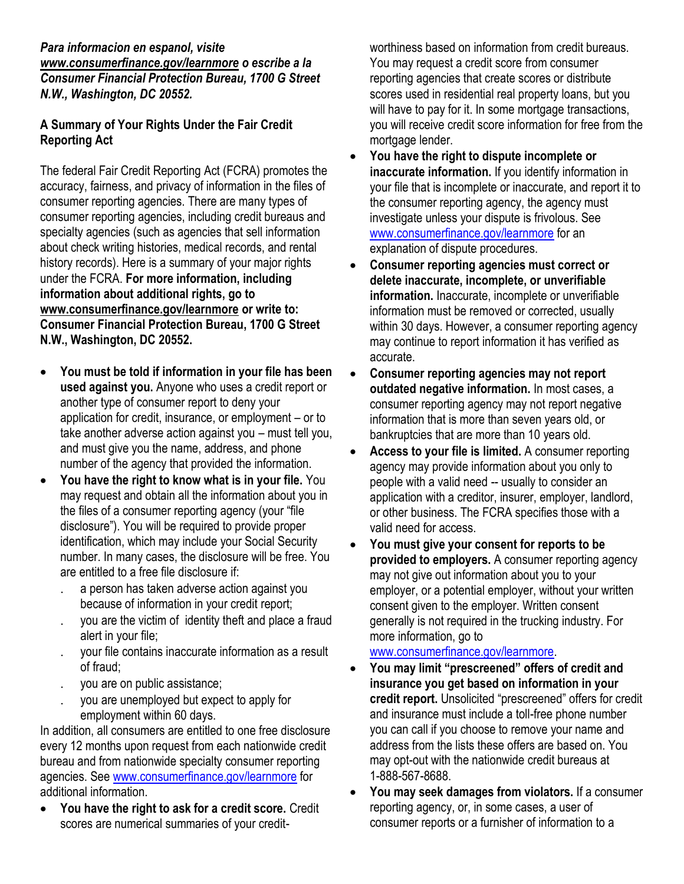## *Para informacion en espanol, visite www.consumerfinance.gov/learnmore o escribe a la Consumer Financial Protection Bureau, 1700 G Street N.W., Washington, DC 20552.*

## **A Summary of Your Rights Under the Fair Credit Reporting Act**

The federal Fair Credit Reporting Act (FCRA) promotes the accuracy, fairness, and privacy of information in the files of consumer reporting agencies. There are many types of consumer reporting agencies, including credit bureaus and specialty agencies (such as agencies that sell information about check writing histories, medical records, and rental history records). Here is a summary of your major rights under the FCRA. **For more information, including information about additional rights, go to www.consumerfinance.gov/learnmore or write to: Consumer Financial Protection Bureau, 1700 G Street N.W., Washington, DC 20552.**

- **You must be told if information in your file has been used against you.** Anyone who uses a credit report or another type of consumer report to deny your application for credit, insurance, or employment – or to take another adverse action against you – must tell you, and must give you the name, address, and phone number of the agency that provided the information.
- **You have the right to know what is in your file.** You may request and obtain all the information about you in the files of a consumer reporting agency (your "file disclosure"). You will be required to provide proper identification, which may include your Social Security number. In many cases, the disclosure will be free. You are entitled to a free file disclosure if:
	- a person has taken adverse action against you because of information in your credit report;
	- you are the victim of identity theft and place a fraud alert in your file;
	- your file contains inaccurate information as a result of fraud;
	- you are on public assistance;
	- you are unemployed but expect to apply for employment within 60 days.

In addition, all consumers are entitled to one free disclosure every 12 months upon request from each nationwide credit bureau and from nationwide specialty consumer reporting agencies. See www.consumerfinance.gov/learnmore for additional information.

 **You have the right to ask for a credit score.** Credit scores are numerical summaries of your creditworthiness based on information from credit bureaus. You may request a credit score from consumer reporting agencies that create scores or distribute scores used in residential real property loans, but you will have to pay for it. In some mortgage transactions, you will receive credit score information for free from the mortgage lender.

- **You have the right to dispute incomplete or inaccurate information.** If you identify information in your file that is incomplete or inaccurate, and report it to the consumer reporting agency, the agency must investigate unless your dispute is frivolous. See [www.consumerfinance.gov/learnmore](http://www.ftc.gov/credit) for an explanation of dispute procedures.
- **Consumer reporting agencies must correct or delete inaccurate, incomplete, or unverifiable information.** Inaccurate, incomplete or unverifiable information must be removed or corrected, usually within 30 days. However, a consumer reporting agency may continue to report information it has verified as accurate.
- **Consumer reporting agencies may not report outdated negative information.** In most cases, a consumer reporting agency may not report negative information that is more than seven years old, or bankruptcies that are more than 10 years old.
- **Access to your file is limited.** A consumer reporting agency may provide information about you only to people with a valid need -- usually to consider an application with a creditor, insurer, employer, landlord, or other business. The FCRA specifies those with a valid need for access.
- **You must give your consent for reports to be provided to employers.** A consumer reporting agency may not give out information about you to your employer, or a potential employer, without your written consent given to the employer. Written consent generally is not required in the trucking industry. For more information, go to

[www.consumerfinance.gov/learnmore.](http://www.ftc.gov/credit)

- **You may limit "prescreened" offers of credit and insurance you get based on information in your credit report.** Unsolicited "prescreened" offers for credit and insurance must include a toll-free phone number you can call if you choose to remove your name and address from the lists these offers are based on. You may opt-out with the nationwide credit bureaus at 1-888-567-8688.
- **You may seek damages from violators.** If a consumer reporting agency, or, in some cases, a user of consumer reports or a furnisher of information to a